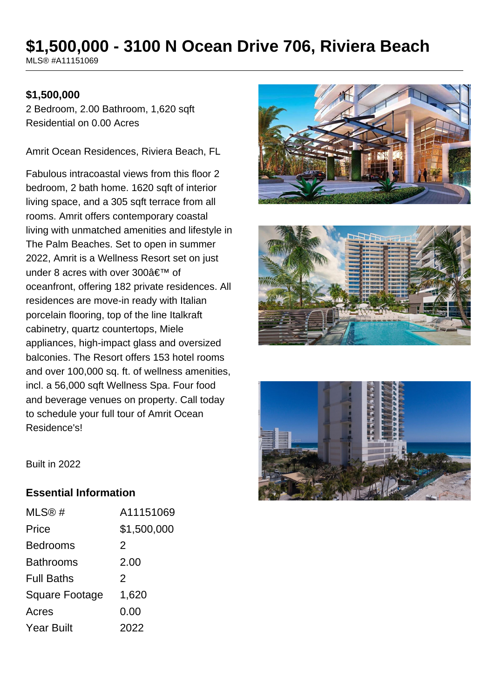# **\$1,500,000 - 3100 N Ocean Drive 706, Riviera Beach**

MLS® #A11151069

### **\$1,500,000**

2 Bedroom, 2.00 Bathroom, 1,620 sqft Residential on 0.00 Acres

Amrit Ocean Residences, Riviera Beach, FL

Fabulous intracoastal views from this floor 2 bedroom, 2 bath home. 1620 sqft of interior living space, and a 305 sqft terrace from all rooms. Amrit offers contemporary coastal living with unmatched amenities and lifestyle in The Palm Beaches. Set to open in summer 2022, Amrit is a Wellness Resort set on just under 8 acres with over 300 $a \in T^M$  of oceanfront, offering 182 private residences. All residences are move-in ready with Italian porcelain flooring, top of the line Italkraft cabinetry, quartz countertops, Miele appliances, high-impact glass and oversized balconies. The Resort offers 153 hotel rooms and over 100,000 sq. ft. of wellness amenities, incl. a 56,000 sqft Wellness Spa. Four food and beverage venues on property. Call today to schedule your full tour of Amrit Ocean Residence's!







Built in 2022

#### **Essential Information**

| MLS@#             | A11151069   |
|-------------------|-------------|
| Price             | \$1,500,000 |
| Bedrooms          | 2           |
| Bathrooms         | 2.00        |
| <b>Full Baths</b> | 2           |
| Square Footage    | 1,620       |
| Acres             | 0.00        |
| Year Built        | 2022        |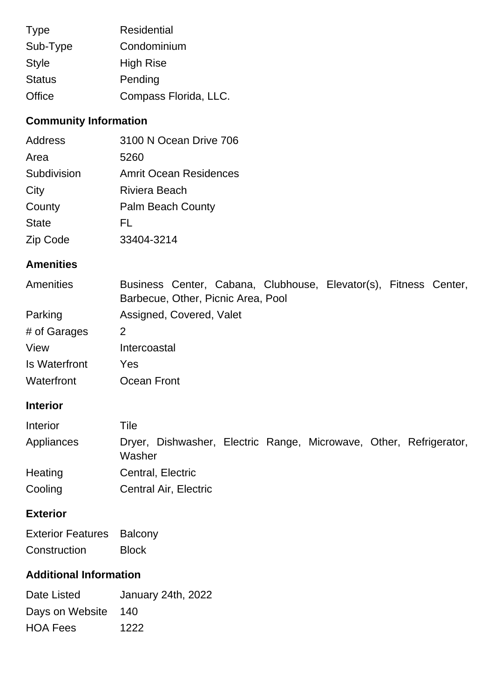| <b>Type</b>   | <b>Residential</b>    |
|---------------|-----------------------|
| Sub-Type      | Condominium           |
| <b>Style</b>  | <b>High Rise</b>      |
| <b>Status</b> | Pending               |
| Office        | Compass Florida, LLC. |

# **Community Information**

| Address      | 3100 N Ocean Drive 706        |
|--------------|-------------------------------|
| Area         | 5260                          |
| Subdivision  | <b>Amrit Ocean Residences</b> |
| City         | <b>Riviera Beach</b>          |
| County       | <b>Palm Beach County</b>      |
| <b>State</b> | FL                            |
| Zip Code     | 33404-3214                    |

## **Amenities**

| Amenities                | Business Center, Cabana, Clubhouse, Elevator(s), Fitness Center,<br>Barbecue, Other, Picnic Area, Pool |
|--------------------------|--------------------------------------------------------------------------------------------------------|
| Parking                  | Assigned, Covered, Valet                                                                               |
| # of Garages             | $\overline{2}$                                                                                         |
| View                     | Intercoastal                                                                                           |
| <b>Is Waterfront</b>     | Yes                                                                                                    |
| Waterfront               | Ocean Front                                                                                            |
| <b>Interior</b>          |                                                                                                        |
| Interior                 | Tile                                                                                                   |
| Appliances               | Dryer, Dishwasher, Electric Range, Microwave, Other, Refrigerator,<br>Washer                           |
| Heating                  | Central, Electric                                                                                      |
| Cooling                  | Central Air, Electric                                                                                  |
| <b>Exterior</b>          |                                                                                                        |
| <b>Exterior Features</b> | <b>Balcony</b>                                                                                         |
| Construction             | <b>Block</b>                                                                                           |

## **Additional Information**

| Date Listed         | January 24th, 2022 |
|---------------------|--------------------|
| Days on Website 140 |                    |
| <b>HOA Fees</b>     | 1222               |